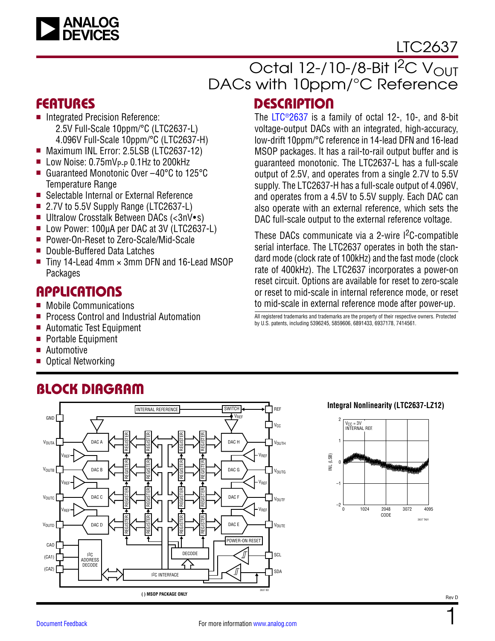

# LTC2637

# Octal  $12$ -/10-/8-Bit I<sup>2</sup>C V<sub>OUT</sub> DACs with 10ppm/°C Reference **DESCRIPTION**

The [LTC®2637](http://www.analog.com/LTC2637?doc=LTC2637.pdf) is a family of octal 12-, 10-, and 8-bit voltage-output DACs with an integrated, high-accuracy, low-drift 10ppm/°C reference in 14-lead DFN and 16-lead MSOP packages. It has a rail-to-rail output buffer and is guaranteed monotonic. The LTC2637-L has a full-scale output of 2.5V, and operates from a single 2.7V to 5.5V supply. The LTC2637-H has a full-scale output of 4.096V, and operates from a 4.5V to 5.5V supply. Each DAC can also operate with an external reference, which sets the DAC full-scale output to the external reference voltage. These DACs communicate via a 2-wire I<sup>2</sup>C-compatible serial interface. The LTC2637 operates in both the standard mode (clock rate of 100kHz) and the fast mode (clock rate of 400kHz). The LTC2637 incorporates a power-on reset circuit. Options are available for reset to zero-scale or reset to mid-scale in internal reference mode, or reset to mid-scale in external reference mode after power-up.

All registered trademarks and trademarks are the property of their respective owners. Protected

by U.S. patents, including 5396245, 5859606, 6891433, 6937178, 7414561.

## FEATURES

- Integrated Precision Reference: 2.5V Full-Scale 10ppm/°C (LTC2637-L) 4.096V Full-Scale 10ppm/°C (LTC2637-H)
- Maximum INL Error: 2.5LSB (LTC2637-12)
- $\blacksquare$  Low Noise: 0.75mV<sub>P-P</sub> 0.1Hz to 200kHz
- Guaranteed Monotonic Over –40°C to 125°C Temperature Range
- Selectable Internal or External Reference
- 2.7V to 5.5V Supply Range (LTC2637-L)
- Ultralow Crosstalk Between DACs (<3nV•s)
- Low Power: 100µA per DAC at 3V (LTC2637-L)
- Power-On-Reset to Zero-Scale/Mid-Scale
- Double-Buffered Data Latches
- $\blacksquare$  Tiny 14-Lead 4mm  $\times$  3mm DFN and 16-Lead MSOP Packages

## **APPLICATIONS**

- Mobile Communications
- **Perocess Control and Industrial Automation**
- Automatic Test Equipment
- Portable Equipment
- $\blacksquare$  Automotive
- Optical Networking

#### BLOCK DIAGRAM INTERNAL REFERENCE SWITCH REF GND<sup>I</sup> VREF  $V_{CC}$ REGISTER REGISTER REGISTER REGISTER DAC A DAC H **VOUTA** VOUTH VREF VREF REGISTER REGISTER REGISTER REGISTER V<sub>OUTB</sub> DAC **B** DAC G VOUTG VREF VREF REGISTER REGISTER REGISTER REGISTER V<sub>OUTC</sub> DAC C DAC F VOUTF VREF VREF REGISTER REGISTER REGISTER REGISTER DAC D DAC E V<sub>OUTD</sub>  $\Box$   $V_{\text{OUTE}}$ POWER-ON RESET CAO DECODE  $12C$ ╜ **SCL**  $(CA1)$ ADDRESS DECODE (CA2) SDA I2C INTERFACE 2637 BD **( ) MSOP PACKAGE ONLY**

## **Integral Nonlinearity (LTC2637-LZ12)**



1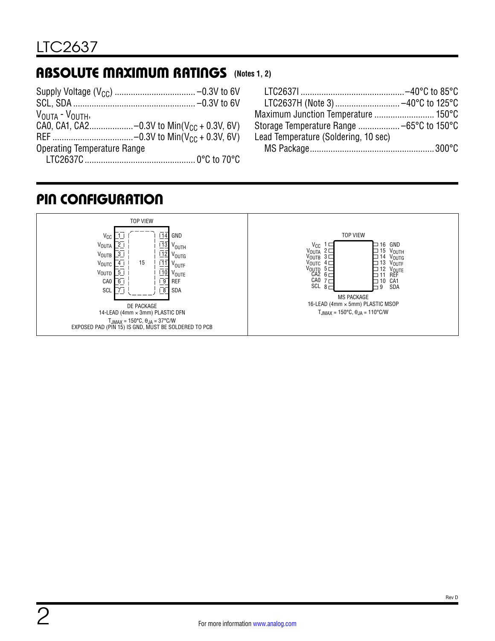# <span id="page-1-0"></span>ABSOLUTE MAXIMUM RATINGS **(Notes 1, 2)**

| $V_{\text{OUTA}} - V_{\text{OUTH}}$ |  |
|-------------------------------------|--|
|                                     |  |
|                                     |  |
| <b>Operating Temperature Range</b>  |  |
|                                     |  |

| LTC2637H (Note 3)  -40°C to 125°C    |  |
|--------------------------------------|--|
| Maximum Junction Temperature  150°C  |  |
|                                      |  |
| Lead Temperature (Soldering, 10 sec) |  |
|                                      |  |

# PIN CONFIGURATION

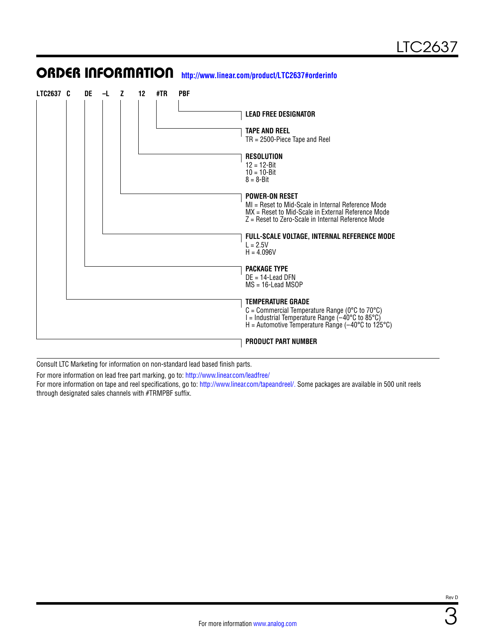## **LTC2637 C DE –L Z 12 #TR PBF LEAD FREE DESIGNATOR TAPE AND REEL** TR = 2500-Piece Tape and Reel **RESOLUTION** 12 = 12-Bit 10 = 10-Bit  $8 = 8 - B$ it **POWER-ON RESET** MI = Reset to Mid-Scale in Internal Reference Mode MX = Reset to Mid-Scale in External Reference Mode Z = Reset to Zero-Scale in Internal Reference Mode **FULL-SCALE VOLTAGE, INTERNAL REFERENCE MODE**  $L = 2.5V$  $H = 4.096V$ **PACKAGE TYPE** DE = 14-Lead DFN MS = 16-Lead MSOP **TEMPERATURE GRADE**  $C =$  Commercial Temperature Range (0 $\degree$ C to 70 $\degree$ C)  $I =$ Industrial Temperature Range  $(-40^{\circ}C)$  to 85 $^{\circ}C$ ) H = Automotive Temperature Range  $(-40^{\circ}$ C to 125°C) **PRODUCT PART NUMBER**

ORDER INFORMATION **<http://www.linear.com/product/LTC2637#orderinfo>**

Consult LTC Marketing for information on non-standard lead based finish parts.

For more information on lead free part marking, go to: <http://www.linear.com/leadfree/>

For more information on tape and reel specifications, go to: [http://www.linear.com/tapeandreel/.](http://www.linear.com/tapeandreel/) Some packages are available in 500 unit reels through designated sales channels with #TRMPBF suffix.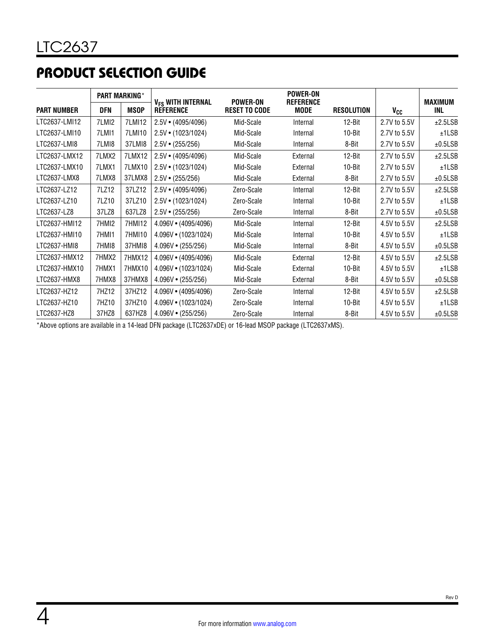# PRODUCT SELECTION GUIDE

| <b>PART MARKING*</b> |       |             |                                                   |                                         | <b>POWER-ON</b>                 |                   |              |                       |
|----------------------|-------|-------------|---------------------------------------------------|-----------------------------------------|---------------------------------|-------------------|--------------|-----------------------|
| <b>PART NUMBER</b>   | DFN   | <b>MSOP</b> | V <sub>FS</sub> WITH INTERNAL<br><b>REFERENCE</b> | <b>POWER-ON</b><br><b>RESET TO CODE</b> | <b>REFERENCE</b><br><b>MODE</b> | <b>RESOLUTION</b> | Vcc          | <b>MAXIMUM</b><br>INL |
| LTC2637-LMI12        | 7LMI2 | 7LMI12      | $2.5V \cdot (4095/4096)$                          | Mid-Scale                               | Internal                        | 12-Bit            | 2.7V to 5.5V | ±2.5LSB               |
| LTC2637-LMI10        | 7LMI1 | 7LMI10      | $2.5V \cdot (1023/1024)$                          | Mid-Scale                               | Internal                        | 10-Bit            | 2.7V to 5.5V | ±1LSB                 |
| LTC2637-LMI8         | 7LMI8 | 37LMI8      | $2.5V \cdot (255/256)$                            | Mid-Scale                               | Internal                        | 8-Bit             | 2.7V to 5.5V | ±0.5LSB               |
| LTC2637-LMX12        | 7LMX2 | 7LMX12      | $2.5V \cdot (4095/4096)$                          | Mid-Scale                               | External                        | 12-Bit            | 2.7V to 5.5V | ±2.5LSB               |
| LTC2637-LMX10        | 7LMX1 | 7LMX10      | $2.5V \cdot (1023/1024)$                          | Mid-Scale                               | External                        | 10-Bit            | 2.7V to 5.5V | ±1LSB                 |
| LTC2637-LMX8         | 7LMX8 | 37LMX8      | $2.5V \cdot (255/256)$                            | Mid-Scale                               | External                        | 8-Bit             | 2.7V to 5.5V | ±0.5LSB               |
| LTC2637-LZ12         | 7LZ12 | 37LZ12      | $2.5V \cdot (4095/4096)$                          | Zero-Scale                              | Internal                        | 12-Bit            | 2.7V to 5.5V | ±2.5LSB               |
| LTC2637-LZ10         | 7LZ10 | 37LZ10      | $2.5V \cdot (1023/1024)$                          | Zero-Scale                              | Internal                        | 10-Bit            | 2.7V to 5.5V | ±1LSB                 |
| LTC2637-LZ8          | 37LZ8 | 637LZ8      | $2.5V \cdot (255/256)$                            | Zero-Scale                              | Internal                        | 8-Bit             | 2.7V to 5.5V | ±0.5LSB               |
| LTC2637-HMI12        | 7HMI2 | 7HMI12      | 4.096V · (4095/4096)                              | Mid-Scale                               | Internal                        | 12-Bit            | 4.5V to 5.5V | ±2.5LSB               |
| LTC2637-HMI10        | 7HMI1 | 7HM110      | 4.096V · (1023/1024)                              | Mid-Scale                               | Internal                        | 10-Bit            | 4.5V to 5.5V | ±1LSB                 |
| LTC2637-HMI8         | 7HMI8 | 37HMI8      | $4.096V \cdot (255/256)$                          | Mid-Scale                               | Internal                        | 8-Bit             | 4.5V to 5.5V | ±0.5LSB               |
| LTC2637-HMX12        | 7HMX2 | 7HMX12      | 4.096V · (4095/4096)                              | Mid-Scale                               | External                        | 12-Bit            | 4.5V to 5.5V | ±2.5LSB               |
| LTC2637-HMX10        | 7HMX1 | 7HMX10      | 4.096V • (1023/1024)                              | Mid-Scale                               | External                        | 10-Bit            | 4.5V to 5.5V | ±1LSB                 |
| LTC2637-HMX8         | 7HMX8 | 37HMX8      | $4.096V \cdot (255/256)$                          | Mid-Scale                               | External                        | 8-Bit             | 4.5V to 5.5V | ±0.5LSB               |
| LTC2637-HZ12         | 7HZ12 | 37HZ12      | 4.096V · (4095/4096)                              | Zero-Scale                              | Internal                        | 12-Bit            | 4.5V to 5.5V | ±2.5LSB               |
| LTC2637-HZ10         | 7HZ10 | 37HZ10      | 4.096V • (1023/1024)                              | Zero-Scale                              | Internal                        | 10-Bit            | 4.5V to 5.5V | ±1LSB                 |
| LTC2637-HZ8          | 37HZ8 | 637HZ8      | $4.096V \cdot (255/256)$                          | Zero-Scale                              | Internal                        | 8-Bit             | 4.5V to 5.5V | ±0.5LSB               |

\*Above options are available in a 14-lead DFN package (LTC2637xDE) or 16-lead MSOP package (LTC2637xMS).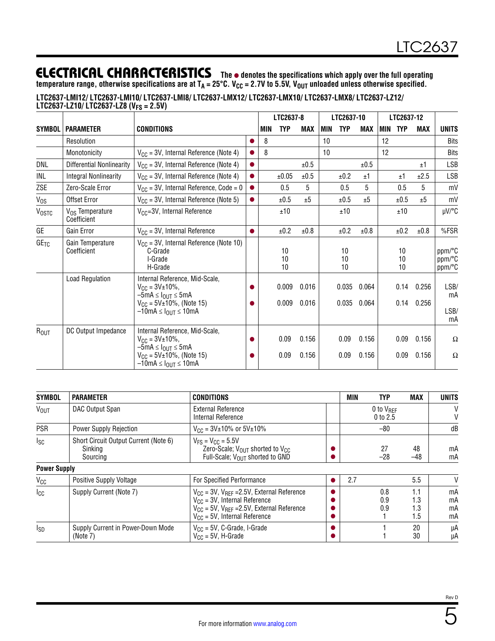**temperature range, otherwise specifications are at TA = 25°C. VCC = 2.7V to 5.5V, VOUT unloaded unless otherwise specified.**

| /LTC2637-LMI12/ LTC2637-LMI10/ LTC2637-LMI8/ LTC2637-LMX12/ LTC2637-LMX10/ LTC2637-LMX8/ LTC2637-LZ12<br>LTC2637-LZ10/ LTC2637-LZ8 (V <sub>FS</sub> = 2.5V) |  |  |  |
|-------------------------------------------------------------------------------------------------------------------------------------------------------------|--|--|--|
|                                                                                                                                                             |  |  |  |

|               |                                            |                                                                                                                                                                                          |           |     | LTC2637-8      |                | LTC2637-10 |                |                | LTC2637-12 |                |                |                            |
|---------------|--------------------------------------------|------------------------------------------------------------------------------------------------------------------------------------------------------------------------------------------|-----------|-----|----------------|----------------|------------|----------------|----------------|------------|----------------|----------------|----------------------------|
| <b>SYMBOL</b> | <b>PARAMETER</b>                           | <b>CONDITIONS</b>                                                                                                                                                                        |           | MIN | <b>TYP</b>     | <b>MAX</b>     | <b>MIN</b> | <b>TYP</b>     | <b>MAX</b>     | MIN        | <b>TYP</b>     | <b>MAX</b>     | <b>UNITS</b>               |
|               | Resolution                                 |                                                                                                                                                                                          |           | 8   |                |                | 10         |                |                | 12         |                |                | <b>Bits</b>                |
|               | Monotonicity                               | $V_{CC}$ = 3V, Internal Reference (Note 4)                                                                                                                                               |           | 8   |                |                | 10         |                |                | 12         |                |                | <b>Bits</b>                |
| DNL           | <b>Differential Nonlinearity</b>           | $V_{CC}$ = 3V, Internal Reference (Note 4)                                                                                                                                               | 0         |     |                | ±0.5           |            |                | ±0.5           |            |                | ±1             | <b>LSB</b>                 |
| INL           | <b>Integral Nonlinearity</b>               | $V_{CC}$ = 3V, Internal Reference (Note 4)                                                                                                                                               | $\bullet$ |     | ±0.05          | ±0.5           |            | ±0.2           | ±1             |            | ±1             | ±2.5           | LSB                        |
| ZSE           | Zero-Scale Error                           | $V_{CC}$ = 3V, Internal Reference, Code = 0                                                                                                                                              | $\bullet$ |     | 0.5            | 5              |            | 0.5            | 5              |            | 0.5            | 5              | mV                         |
| $V_{OS}$      | <b>Offset Error</b>                        | $V_{CC}$ = 3V, Internal Reference (Note 5)                                                                                                                                               | $\bullet$ |     | ±0.5           | ±5             |            | ±0.5           | ±5             |            | ±0.5           | ±5             | mV                         |
| <b>VOSTC</b>  | V <sub>OS</sub> Temperature<br>Coefficient | V <sub>CC</sub> =3V, Internal Reference                                                                                                                                                  |           |     | ±10            |                |            | ±10            |                |            | ±10            |                | µV/°C                      |
| GE            | Gain Error                                 | $V_{CC}$ = 3V, Internal Reference                                                                                                                                                        |           |     | ±0.2           | ±0.8           |            | ±0.2           | ±0.8           |            | ±0.2           | ±0.8           | %FSR                       |
| GETC          | Gain Temperature<br>Coefficient            | $V_{\text{CC}}$ = 3V, Internal Reference (Note 10)<br>C-Grade<br>I-Grade<br>H-Grade                                                                                                      |           |     | 10<br>10<br>10 |                |            | 10<br>10<br>10 |                |            | 10<br>10<br>10 |                | ppm/°C<br>ppm/°C<br>ppm/°C |
|               | Load Regulation                            | Internal Reference, Mid-Scale,<br>$V_{CC} = 3V \pm 10\%$ ,<br>$-5mA \leq I_{OUT} \leq 5mA$<br>$V_{CC}$ = 5V±10%, (Note 15)<br>$-10$ mA $\leq$ $I_{\text{OUT}} \leq 10$ mA                |           |     | 0.009<br>0.009 | 0.016<br>0.016 |            | 0.035<br>0.035 | 0.064<br>0.064 |            | 0.14<br>0.14   | 0.256<br>0.256 | LSB/<br>mA<br>LSB/<br>mA   |
| $R_{OUT}$     | DC Output Impedance                        | Internal Reference, Mid-Scale,<br>$V_{\text{CC}} = 3V \pm 10\%$ ,<br>$-5$ mA $\leq$ $I_{\Omega IIT}$ $\leq$ 5mA<br>$V_{CC}$ = 5V±10%, (Note 15)<br>$-10$ mA $\leq$ $I_{OUT}$ $\leq$ 10mA | 0         |     | 0.09<br>0.09   | 0.156<br>0.156 |            | 0.09<br>0.09   | 0.156<br>0.156 |            | 0.09<br>0.09   | 0.156<br>0.156 | Ω<br>Ω                     |

| <b>SYMBOL</b>       | <b>PARAMETER</b>                                             | <b>CONDITIONS</b>                                                                                                                                                                   | MIN | <b>TYP</b>                        | <b>MAX</b>               | <b>UNITS</b>         |
|---------------------|--------------------------------------------------------------|-------------------------------------------------------------------------------------------------------------------------------------------------------------------------------------|-----|-----------------------------------|--------------------------|----------------------|
| <b>VOUT</b>         | DAC Output Span                                              | <b>External Reference</b><br>Internal Reference                                                                                                                                     |     | 0 to $V_{\text{RFF}}$<br>0 to 2.5 |                          | V<br>V               |
| <b>PSR</b>          | Power Supply Rejection                                       | $V_{CC}$ = 3V±10% or 5V±10%                                                                                                                                                         |     | $-80$                             |                          | dB                   |
| Isc                 | Short Circuit Output Current (Note 6)<br>Sinking<br>Sourcing | $V_{FS}$ = $V_{CC}$ = 5.5V<br>Zero-Scale; V <sub>OUT</sub> shorted to V <sub>CC</sub><br>Full-Scale; $V_{OIII}$ shorted to GND                                                      |     | 27<br>$-28$                       | 48<br>$-48$              | mA<br>mA             |
| <b>Power Supply</b> |                                                              |                                                                                                                                                                                     |     |                                   |                          |                      |
| $V_{CC}$            | <b>Positive Supply Voltage</b>                               | For Specified Performance                                                                                                                                                           | 2.7 |                                   | 5.5                      | V                    |
| <sub>Icc</sub>      | Supply Current (Note 7)                                      | $V_{CC}$ = 3V, $V_{REF}$ = 2.5V, External Reference<br>$V_{CC}$ = 3V, Internal Reference<br>$V_{CC}$ = 5V, $V_{REF}$ =2.5V, External Reference<br>$V_{CC}$ = 5V, Internal Reference |     | 0.8<br>0.9<br>0.9                 | 1.1<br>1.3<br>1.3<br>1.5 | mA<br>mA<br>mA<br>mA |
| <sub>sp</sub>       | Supply Current in Power-Down Mode<br>(Note 7)                | $V_{CC}$ = 5V, C-Grade, I-Grade<br>$V_{CC}$ = 5V, H-Grade                                                                                                                           |     |                                   | 20<br>30                 | μA<br>μA             |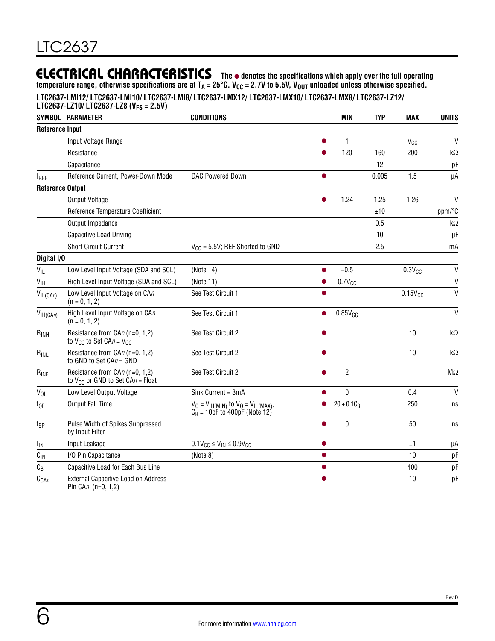**temperature range, otherwise specifications are at TA = 25°C. VCC = 2.7V to 5.5V, VOUT unloaded unless otherwise specified.**

**LTC2637-LMI12/ LTC2637-LMI10/ LTC2637-LMI8/ LTC2637-LMX12/ LTC2637-LMX10/ LTC2637-LMX8/ LTC2637-LZ12/** 

| <b>SYMBOL</b>           | LTC2637-LZ10/ LTC2637-LZ8 (V <sub>FS</sub> = 2.5V)<br><b>PARAMETER</b>     | <b>CONDITIONS</b>                                                               |           | MIN                 | <b>TYP</b> | MAX             | <b>UNITS</b> |
|-------------------------|----------------------------------------------------------------------------|---------------------------------------------------------------------------------|-----------|---------------------|------------|-----------------|--------------|
| <b>Reference Input</b>  |                                                                            |                                                                                 |           |                     |            |                 |              |
|                         |                                                                            |                                                                                 |           |                     |            |                 | $\mathsf{V}$ |
|                         | Input Voltage Range                                                        |                                                                                 |           | 1                   |            | V <sub>CC</sub> |              |
|                         | Resistance                                                                 |                                                                                 | $\bullet$ | 120                 | 160        | 200             | kΩ           |
|                         | Capacitance                                                                |                                                                                 |           |                     | 12         |                 | pF           |
| <b>IREF</b>             | Reference Current, Power-Down Mode                                         | <b>DAC Powered Down</b>                                                         |           |                     | 0.005      | 1.5             | μA           |
| <b>Reference Output</b> |                                                                            |                                                                                 |           |                     |            |                 |              |
|                         | <b>Output Voltage</b>                                                      |                                                                                 | $\bullet$ | 1.24                | 1.25       | 1.26            | V            |
|                         | Reference Temperature Coefficient                                          |                                                                                 |           |                     | ±10        |                 | ppm/°C       |
|                         | Output Impedance                                                           |                                                                                 |           |                     | 0.5        |                 | k $\Omega$   |
|                         | Capacitive Load Driving                                                    |                                                                                 |           |                     | 10         |                 | $\mu$ F      |
|                         | <b>Short Circuit Current</b>                                               | $V_{CC}$ = 5.5V; REF Shorted to GND                                             |           |                     | 2.5        |                 | mA           |
| Digital I/O             |                                                                            |                                                                                 |           |                     |            |                 |              |
| $V_{IL}$                | Low Level Input Voltage (SDA and SCL)                                      | (Note 14)                                                                       |           | $-0.5$              |            | $0.3V_{CC}$     | $\mathsf{V}$ |
| $V_{\text{IH}}$         | High Level Input Voltage (SDA and SCL)                                     | (Note 11)                                                                       |           | $0.7V_{CC}$         |            |                 | $\mathsf{V}$ |
| $V_{IL(CAn)}$           | Low Level Input Voltage on CAn<br>$(n = 0, 1, 2)$                          | See Test Circuit 1                                                              |           |                     |            | $0.15V_{CC}$    | $\vee$       |
| V <sub>IH(CAn)</sub>    | High Level Input Voltage on CAn<br>$(n = 0, 1, 2)$                         | See Test Circuit 1                                                              | $\bullet$ | 0.85V <sub>CC</sub> |            |                 | $\mathsf{V}$ |
| $R_{INH}$               | Resistance from CAn (n=0, 1,2)<br>to $V_{CC}$ to Set CAn = $V_{CC}$        | See Test Circuit 2                                                              |           |                     |            | 10              | k $\Omega$   |
| $R_{INL}$               | Resistance from CAn (n=0, 1,2)<br>to GND to Set $CAn = GND$                | See Test Circuit 2                                                              |           |                     |            | 10              | k $\Omega$   |
| $R_{INF}$               | Resistance from CAn (n=0, 1,2)<br>to $V_{CC}$ or GND to Set CA $n =$ Float | See Test Circuit 2                                                              |           | $\overline{2}$      |            |                 | $M\Omega$    |
| $V_{OL}$                | Low Level Output Voltage                                                   | Sink Current = 3mA                                                              | $\bullet$ | $\theta$            |            | 0.4             | $\mathsf{V}$ |
| $t_{OF}$                | <b>Output Fall Time</b>                                                    | $V_0 = V_{IH(MIN)}$ to $V_0 = V_{IL(MAX)}$ ,<br>$C_B = 10pF$ to 400pF (Note 12) | 0         | $20 + 0.1C_B$       |            | 250             | ns           |
| tsp                     | Pulse Width of Spikes Suppressed<br>by Input Filter                        |                                                                                 |           | $\mathbf{0}$        |            | 50              | ns           |
| <sup>I</sup> IN         | Input Leakage                                                              | $0.1 V_{CC} \le V_{IN} \le 0.9 V_{CC}$                                          | $\bullet$ |                     |            | ±1              | μA           |
| $C_{\text{IN}}$         | I/O Pin Capacitance                                                        | (Note 8)                                                                        |           |                     |            | 10              | pF           |
| $C_B$                   | Capacitive Load for Each Bus Line                                          |                                                                                 |           |                     |            | 400             | pF           |
| $C_{CAn}$               | External Capacitive Load on Address<br>Pin $CAn$ (n=0, 1,2)                |                                                                                 |           |                     |            | 10              | pF           |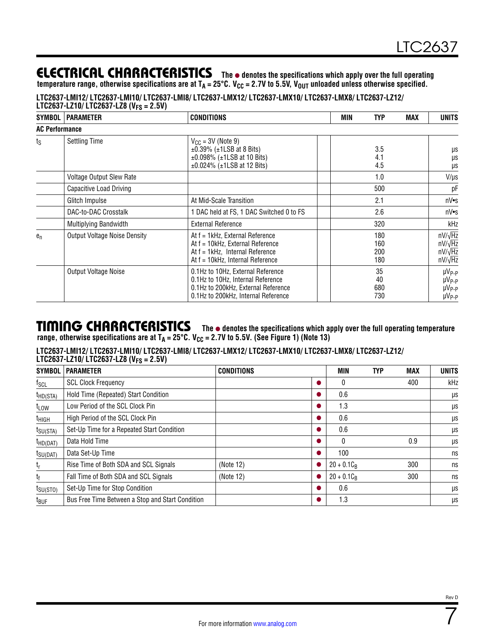**temperature range, otherwise specifications are at TA = 25°C. VCC = 2.7V to 5.5V, VOUT unloaded unless otherwise specified.**

**LTC2637-LMI12/ LTC2637-LMI10/ LTC2637-LMI8/ LTC2637-LMX12/ LTC2637-LMX10/ LTC2637-LMX8/ LTC2637-LZ12/** 

|                       | LTC2637-LZ10/ LTC2637-LZ8 (V <sub>FS</sub> = 2.5V) |                                                                                                                                                      |     |                          |     |                                                                      |
|-----------------------|----------------------------------------------------|------------------------------------------------------------------------------------------------------------------------------------------------------|-----|--------------------------|-----|----------------------------------------------------------------------|
| SYMBOL <sup>1</sup>   | <b>PARAMETER</b>                                   | <b>CONDITIONS</b>                                                                                                                                    | MIN | TYP                      | MAX | <b>UNITS</b>                                                         |
| <b>AC Performance</b> |                                                    |                                                                                                                                                      |     |                          |     |                                                                      |
| ts                    | <b>Settling Time</b>                               | $V_{CC}$ = 3V (Note 9)<br>$\pm 0.39\%$ ( $\pm 1$ LSB at 8 Bits)<br>$\pm 0.098\%$ ( $\pm 1$ LSB at 10 Bits)<br>$±0.024\%$ ( $±1LSB$ at 12 Bits)       |     | 3.5<br>4.1<br>4.5        |     | μs<br>μs<br>μs                                                       |
|                       | Voltage Output Slew Rate                           |                                                                                                                                                      |     | 1.0                      |     | $V/\mu s$                                                            |
|                       | Capacitive Load Driving                            |                                                                                                                                                      |     | 500                      |     | рF                                                                   |
|                       | Glitch Impulse                                     | At Mid-Scale Transition                                                                                                                              |     | 2.1                      |     | nV•s                                                                 |
|                       | DAC-to-DAC Crosstalk                               | 1 DAC held at FS, 1 DAC Switched 0 to FS                                                                                                             |     | 2.6                      |     | nV•s                                                                 |
|                       | Multiplying Bandwidth                              | <b>External Reference</b>                                                                                                                            |     | 320                      |     | kHz                                                                  |
| $e_n$                 | <b>Output Voltage Noise Density</b>                | At f = 1kHz, External Reference<br>At f = 10kHz, External Reference<br>At $f = 1$ kHz, Internal Reference<br>At f = 10kHz, Internal Reference        |     | 180<br>160<br>200<br>180 |     | $nV/\sqrt{Hz}$<br>$nV/\sqrt{Hz}$<br>$nV/\sqrt{Hz}$<br>$nV/\sqrt{Hz}$ |
|                       | Output Voltage Noise                               | 0.1Hz to 10Hz, External Reference<br>0.1Hz to 10Hz, Internal Reference<br>0.1Hz to 200kHz, External Reference<br>0.1Hz to 200kHz, Internal Reference |     | 35<br>40<br>680<br>730   |     | $\mu V_{P-P}$<br>$\mu V_{P-P}$<br>$\mu V_{P-P}$<br>$\mu V_{P-P}$     |

## TIMING CHARACTERISTICS The  $\bullet$  denotes the specifications which apply over the full operating temperature **range, otherwise specifications are at TA = 25°C. VCC = 2.7V to 5.5V. (See [Figure 1\)](#page-18-0) (Note 13)**

**LTC2637-LMI12/ LTC2637-LMI10/ LTC2637-LMI8/ LTC2637-LMX12/ LTC2637-LMX10/ LTC2637-LMX8/ LTC2637-LZ12/ LTC2637-LZ10/ LTC2637-LZ8 (VFS = 2.5V)**

| <b>SYMBOL</b>        | <b>PARAMETER</b>                                 | <b>CONDITIONS</b> |   | <b>MIN</b>    | TYP | <b>MAX</b> | <b>UNITS</b> |
|----------------------|--------------------------------------------------|-------------------|---|---------------|-----|------------|--------------|
| $f_{SCL}$            | <b>SCL Clock Frequency</b>                       |                   |   | 0             |     | 400        | kHz          |
| $t_{HD(STA)}$        | Hold Time (Repeated) Start Condition             |                   |   | 0.6           |     |            | μs           |
| $t_{LOW}$            | Low Period of the SCL Clock Pin                  |                   |   | 1.3           |     |            | μs           |
| t <sub>HIGH</sub>    | High Period of the SCL Clock Pin                 |                   |   | 0.6           |     |            | μs           |
| $t_{\text{SU(STA)}}$ | Set-Up Time for a Repeated Start Condition       |                   |   | 0.6           |     |            | μs           |
| $t_{HD(DAT)}$        | Data Hold Time                                   |                   |   | 0             |     | 0.9        | μs           |
| $t_{\text{SU(DAT)}}$ | Data Set-Up Time                                 |                   | D | 100           |     |            | ns           |
| $t_{\sf r}$          | Rise Time of Both SDA and SCL Signals            | (Note 12)         |   | $20 + 0.1C_R$ |     | 300        | ns           |
| $t_f$                | Fall Time of Both SDA and SCL Signals            | (Note 12)         |   | $20 + 0.1C_R$ |     | 300        | ns           |
| $t_{\text{SU(STO)}}$ | Set-Up Time for Stop Condition                   |                   |   | 0.6           |     |            | μs           |
| t <sub>BUF</sub>     | Bus Free Time Between a Stop and Start Condition |                   |   | 1.3           |     |            | μs           |

7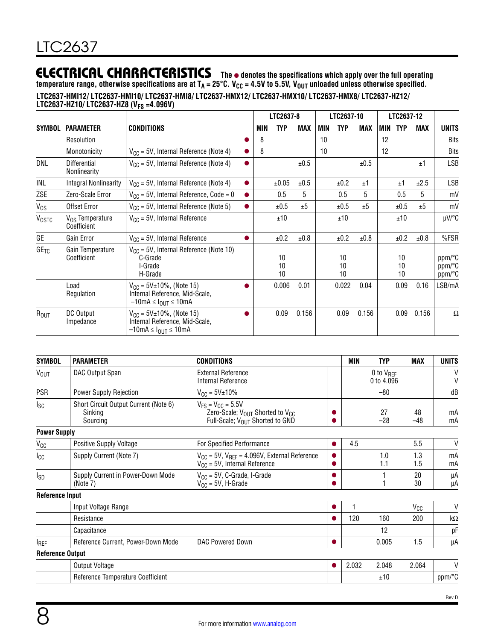**temperature range, otherwise specifications are at TA = 25°C. VCC = 4.5V to 5.5V, VOUT unloaded unless otherwise specified. LTC2637-HMI12/ LTC2637-HMI10/ LTC2637-HMI8/ LTC2637-HMX12/ LTC2637-HMX10/ LTC2637-HMX8/ LTC2637-HZ12/ LTC2637-HZ10/ LTC2637-HZ8 (VFS =4.096V)**

|                  |                                            |                                                                                                                     |           | LTC2637-8 |                | LTC2637-10 |            |                | LTC2637-12 |     |                |            |                            |
|------------------|--------------------------------------------|---------------------------------------------------------------------------------------------------------------------|-----------|-----------|----------------|------------|------------|----------------|------------|-----|----------------|------------|----------------------------|
| <b>SYMBOL</b>    | <b>PARAMETER</b>                           | <b>CONDITIONS</b>                                                                                                   |           | MIN       | <b>TYP</b>     | MAX        | <b>MIN</b> | <b>TYP</b>     | MAX        | MIN | <b>TYP</b>     | <b>MAX</b> | <b>UNITS</b>               |
|                  | Resolution                                 |                                                                                                                     |           | 8         |                |            | 10         |                |            | 12  |                |            | <b>Bits</b>                |
|                  | Monotonicity                               | $V_{CC}$ = 5V, Internal Reference (Note 4)                                                                          |           | 8         |                |            | 10         |                |            | 12  |                |            | <b>Bits</b>                |
| DNL              | <b>Differential</b><br>Nonlinearity        | $V_{CC}$ = 5V, Internal Reference (Note 4)                                                                          | ●         |           |                | ±0.5       |            |                | ±0.5       |     |                | ±1         | <b>LSB</b>                 |
| INL              | Integral Nonlinearity                      | $V_{CC}$ = 5V, Internal Reference (Note 4)                                                                          | $\bullet$ |           | ±0.05          | ±0.5       |            | ±0.2           | ±1         |     | ±1             | ±2.5       | LSB                        |
| ZSE              | Zero-Scale Error                           | $V_{CC}$ = 5V, Internal Reference, Code = 0                                                                         | $\bullet$ |           | 0.5            | 5          |            | 0.5            | 5          |     | 0.5            | 5          | mV                         |
| $V_{OS}$         | Offset Error                               | $V_{CC}$ = 5V, Internal Reference (Note 5)                                                                          | $\bullet$ |           | ±0.5           | ±5         |            | ±0.5           | ±5         |     | ±0.5           | ±5         | mV                         |
| <b>VOSTC</b>     | V <sub>OS</sub> Temperature<br>Coefficient | $V_{CC}$ = 5V, Internal Reference                                                                                   |           |           | ±10            |            |            | ±10            |            |     | ±10            |            | $\mu$ V/°C                 |
| GE               | Gain Error                                 | $V_{CC}$ = 5V, Internal Reference                                                                                   |           |           | ±0.2           | ±0.8       |            | ±0.2           | ±0.8       |     | ±0.2           | ±0.8       | %FSR                       |
| GE <sub>TC</sub> | Gain Temperature<br>Coefficient            | $V_{CC}$ = 5V, Internal Reference (Note 10)<br>C-Grade<br>I-Grade<br>H-Grade                                        |           |           | 10<br>10<br>10 |            |            | 10<br>10<br>10 |            |     | 10<br>10<br>10 |            | ppm/°C<br>ppm/°C<br>ppm/°C |
|                  | Load<br>Regulation                         | $V_{CC}$ = 5V $\pm$ 10%, (Note 15)<br>Internal Reference, Mid-Scale,<br>$-10$ mA $\leq$ $I_{\text{OUT}} \leq 10$ mA |           |           | 0.006          | 0.01       |            | 0.022          | 0.04       |     | 0.09           | 0.16       | LSB/mA                     |
| R <sub>OUT</sub> | DC Output<br>Impedance                     | $V_{CC}$ = 5V $\pm$ 10%, (Note 15)<br>Internal Reference, Mid-Scale,<br>$-10$ mA $\leq$ $I_{\text{OUT}} \leq 10$ mA |           |           | 0.09           | 0.156      |            | 0.09           | 0.156      |     | 0.09           | 0.156      | Ω                          |

| <b>SYMBOL</b>           | <b>PARAMETER</b>                                             | <b>CONDITIONS</b>                                                                                                                  | MIN   | <b>TYP</b>                   | MAX         | <b>UNITS</b> |
|-------------------------|--------------------------------------------------------------|------------------------------------------------------------------------------------------------------------------------------------|-------|------------------------------|-------------|--------------|
| V <sub>OUT</sub>        | DAC Output Span                                              | <b>External Reference</b><br>Internal Reference                                                                                    |       | 0 to $V_{REF}$<br>0 to 4.096 |             | V<br>$\vee$  |
| PSR                     | Power Supply Rejection                                       | $V_{CC} = 5V \pm 10\%$                                                                                                             |       | $-80$                        |             | dB           |
| <sub>sc</sub>           | Short Circuit Output Current (Note 6)<br>Sinking<br>Sourcing | $V_{FS} = V_{CC} = 5.5V$<br>Zero-Scale; V <sub>OUT</sub> Shorted to V <sub>CC</sub><br>Full-Scale; V <sub>OUT</sub> Shorted to GND |       | 27<br>$-28$                  | 48<br>$-48$ | mA<br>mA     |
| <b>Power Supply</b>     |                                                              |                                                                                                                                    |       |                              |             |              |
| V <sub>CC</sub>         | Positive Supply Voltage                                      | For Specified Performance                                                                                                          | 4.5   |                              | 5.5         | $\mathsf{V}$ |
| Icc                     | Supply Current (Note 7)                                      | $V_{CC}$ = 5V, $V_{REF}$ = 4.096V, External Reference<br>$V_{CC}$ = 5V, Internal Reference                                         |       | 1.0<br>1.1                   | 1.3<br>1.5  | mA<br>mA     |
| <b>I</b> <sub>SD</sub>  | Supply Current in Power-Down Mode<br>(Note 7)                | $V_{CC}$ = 5V, C-Grade, I-Grade<br>$V_{CC}$ = 5V, H-Grade                                                                          |       |                              | 20<br>30    | μA<br>μA     |
| <b>Reference Input</b>  |                                                              |                                                                                                                                    |       |                              |             |              |
|                         | Input Voltage Range                                          |                                                                                                                                    |       |                              | $V_{CC}$    | $\mathsf{V}$ |
|                         | Resistance                                                   |                                                                                                                                    | 120   | 160                          | 200         | $k\Omega$    |
|                         | Capacitance                                                  |                                                                                                                                    |       | 12                           |             | рF           |
| <sup>I</sup> REF        | Reference Current, Power-Down Mode                           | DAC Powered Down                                                                                                                   |       | 0.005                        | 1.5         | μA           |
| <b>Reference Output</b> |                                                              |                                                                                                                                    |       |                              |             |              |
|                         | Output Voltage                                               |                                                                                                                                    | 2.032 | 2.048                        | 2.064       | V            |
|                         | Reference Temperature Coefficient                            |                                                                                                                                    |       | ±10                          |             | ppm/°C       |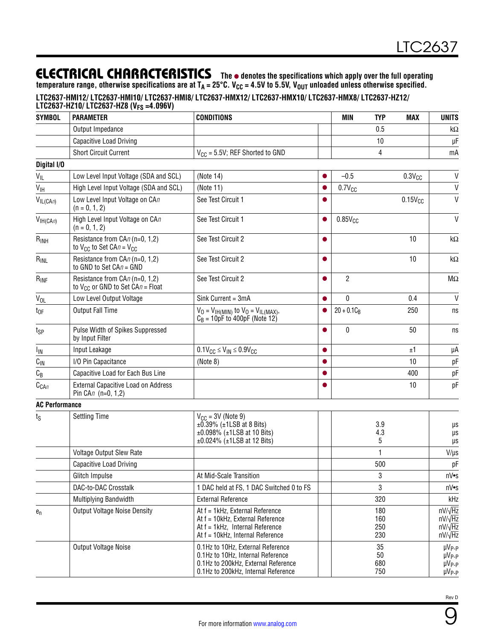**temperature range, otherwise specifications are at TA = 25°C. VCC = 4.5V to 5.5V, VOUT unloaded unless otherwise specified.**

#### **LTC2637-HMI12/ LTC2637-HMI10/ LTC2637-HMI8/ LTC2637-HMX12/ LTC2637-HMX10/ LTC2637-HMX8/ LTC2637-HZ12/**

| <b>SYMBOL</b>                   | <b>PARAMETER</b>                                                           | <b>CONDITIONS</b>                                                                                                                                    |           | <b>MIN</b>     | <b>TYP</b>               | <b>MAX</b>      | <b>UNITS</b>                                                         |
|---------------------------------|----------------------------------------------------------------------------|------------------------------------------------------------------------------------------------------------------------------------------------------|-----------|----------------|--------------------------|-----------------|----------------------------------------------------------------------|
|                                 | Output Impedance                                                           |                                                                                                                                                      |           |                | 0.5                      |                 | k $\Omega$                                                           |
|                                 | Capacitive Load Driving                                                    |                                                                                                                                                      |           |                | 10                       |                 | μF                                                                   |
|                                 | <b>Short Circuit Current</b>                                               | $V_{CC}$ = 5.5V; REF Shorted to GND                                                                                                                  |           |                | 4                        |                 | mA                                                                   |
| Digital I/O                     |                                                                            |                                                                                                                                                      |           |                |                          |                 |                                                                      |
| $V_{IL}$                        | Low Level Input Voltage (SDA and SCL)                                      | (Note 14)                                                                                                                                            |           | $-0.5$         |                          | $0.3V_{CC}$     | $\mathsf{V}$                                                         |
| V <sub>IH</sub>                 | High Level Input Voltage (SDA and SCL)                                     | (Note 11)                                                                                                                                            | $\bullet$ | $0.7V_{CC}$    |                          |                 | $\mathsf{V}$                                                         |
| $V_{IL(CAn)}$                   | Low Level Input Voltage on CAn<br>$(n = 0, 1, 2)$                          | See Test Circuit 1                                                                                                                                   |           |                |                          | $0.15V_{CC}$    | V                                                                    |
| V <sub>IH(CA<sub>n</sub>)</sub> | High Level Input Voltage on CAn<br>$(n = 0, 1, 2)$                         | See Test Circuit 1                                                                                                                                   |           | $0.85V_{CC}$   |                          |                 | $\mathsf{V}$                                                         |
| $R_{INH}$                       | Resistance from CAn (n=0, 1,2)<br>to $V_{CC}$ to Set CAn = $V_{CC}$        | See Test Circuit 2                                                                                                                                   |           |                |                          | 10              | k $\Omega$                                                           |
| $R_{INL}$                       | Resistance from CAn (n=0, 1,2)<br>to GND to Set $CAn = GND$                | See Test Circuit 2                                                                                                                                   |           |                |                          | 10              | k $\Omega$                                                           |
| $R_{INF}$                       | Resistance from CAn (n=0, 1,2)<br>to $V_{CC}$ or GND to Set CA $n =$ Float | See Test Circuit 2                                                                                                                                   |           | $\overline{2}$ |                          |                 | $\sf M\Omega$                                                        |
| $V_{OL}$                        | Low Level Output Voltage                                                   | Sink Current = 3mA                                                                                                                                   |           | 0              |                          | 0.4             | V                                                                    |
| $t_{OF}$                        | <b>Output Fall Time</b>                                                    | $V_0 = V_{IH(MIN)}$ to $V_0 = V_{IL(MAX)}$ ,<br>$C_B = 10pF$ to 400pF (Note 12)                                                                      |           | $20 + 0.1C_B$  |                          | 250             | ns                                                                   |
| tsp                             | Pulse Width of Spikes Suppressed<br>by Input Filter                        |                                                                                                                                                      | ●         | 0              |                          | 50              | ns                                                                   |
| I <sub>IN</sub>                 | Input Leakage                                                              | $0.1$ V <sub>CC</sub> $\leq$ V <sub>IN</sub> $\leq$ 0.9V <sub>CC</sub>                                                                               |           |                |                          | ±1              | μA                                                                   |
| $C_{IN}$                        | I/O Pin Capacitance                                                        | (Note 8)                                                                                                                                             |           |                |                          | 10              | pF                                                                   |
| $C_B$                           | Capacitive Load for Each Bus Line                                          |                                                                                                                                                      |           |                |                          | 400             | pF                                                                   |
| $C_{CAn}$                       | <b>External Capacitive Load on Address</b><br>Pin CAn (n=0, 1,2)           |                                                                                                                                                      |           |                |                          | 10 <sup>°</sup> | pF                                                                   |
| <b>AC Performance</b>           |                                                                            |                                                                                                                                                      |           |                |                          |                 |                                                                      |
| $t_{\rm S}$                     | <b>Settling Time</b>                                                       | $V_{\text{CC}} = 3V$ (Note 9)<br>$\pm 0.39\%$ ( $\pm 1$ LSB at 8 Bits)<br>$±0.098\%$ ( $±1$ LSB at 10 Bits)<br>$±0.024\%$ ( $±1LSB$ at 12 Bits)      |           |                | 3.9<br>4.3<br>5          |                 | μs<br>μs<br>μs                                                       |
|                                 | Voltage Output Slew Rate                                                   |                                                                                                                                                      |           |                |                          |                 | $V/\mu s$                                                            |
|                                 | Capacitive Load Driving                                                    |                                                                                                                                                      |           |                | 500                      |                 | рF                                                                   |
|                                 | Glitch Impulse                                                             | At Mid-Scale Transition                                                                                                                              |           |                | 3                        |                 | nV•s                                                                 |
|                                 | DAC-to-DAC Crosstalk                                                       | 1 DAC held at FS, 1 DAC Switched 0 to FS                                                                                                             |           |                | 3                        |                 | nV•s                                                                 |
|                                 | Multiplying Bandwidth                                                      | <b>External Reference</b>                                                                                                                            |           |                | 320                      |                 | kHz                                                                  |
| $e_n$                           | <b>Output Voltage Noise Density</b>                                        | At f = 1kHz, External Reference<br>At f = 10kHz, External Reference<br>At f = 1kHz, Internal Reference<br>At f = 10kHz, Internal Reference           |           |                | 180<br>160<br>250<br>230 |                 | $nV/\sqrt{Hz}$<br>$nV/\sqrt{Hz}$<br>$nV/\sqrt{Hz}$<br>$nV/\sqrt{Hz}$ |
|                                 | Output Voltage Noise                                                       | 0.1Hz to 10Hz, External Reference<br>0.1Hz to 10Hz, Internal Reference<br>0.1Hz to 200kHz, External Reference<br>0.1Hz to 200kHz, Internal Reference |           |                | 35<br>50<br>680<br>750   |                 | $\mu V_{P-P}$<br>$\mu V_{P-P}$<br>$\mu V_{P-P}$<br>µV <sub>P-P</sub> |



9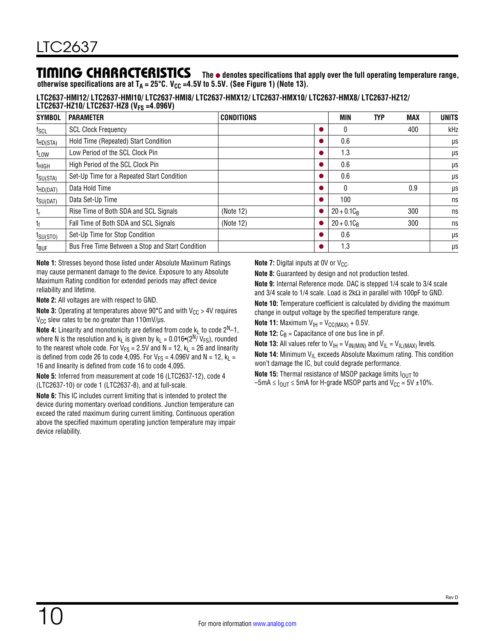## TIMING CHARACTERISTICS The  $\bullet$  denotes specifications that apply over the full operating temperature range,

**otherwise specifications are at**  $T_A = 25^{\circ}$ **C. V<sub>CC</sub> =4.5V to 5.5V. (See [Figure 1](#page-18-0)) (Note 13).** 

**LTC2637-HMI12/ LTC2637-HMI10/ LTC2637-HMI8/ LTC2637-HMX12/ LTC2637-HMX10/ LTC2637-HMX8/ LTC2637-HZ12/ LTC2637-HZ10/ LTC2637-HZ8 (VFS =4.096V)**

| <b>SYMBOL</b>        | <b>PARAMETER</b>                                 | <b>CONDITIONS</b> |   | MIN           | <b>TYP</b> | <b>MAX</b> | <b>UNITS</b> |
|----------------------|--------------------------------------------------|-------------------|---|---------------|------------|------------|--------------|
| $f_{SCL}$            | <b>SCL Clock Frequency</b>                       |                   |   |               |            | 400        | kHz          |
| $t_{HD(STA)}$        | Hold Time (Repeated) Start Condition             |                   |   | 0.6           |            |            | μs           |
| t <sub>LOW</sub>     | Low Period of the SCL Clock Pin                  |                   |   | 1.3           |            |            | μs           |
| t <sub>HIGH</sub>    | High Period of the SCL Clock Pin                 |                   | c | 0.6           |            |            | μs           |
| $t_{\text{SU(STA)}}$ | Set-Up Time for a Repeated Start Condition       |                   | O | 0.6           |            |            | μs           |
| $t_{HD(DAT)}$        | Data Hold Time                                   |                   |   |               |            | 0.9        | μs           |
| $t_{\text{SU(DAT)}}$ | Data Set-Up Time                                 |                   |   | 100           |            |            | ns           |
| $t_{r}$              | Rise Time of Both SDA and SCL Signals            | (Note 12)         |   | $20 + 0.1C_R$ |            | 300        | ns           |
| t <sub>f</sub>       | Fall Time of Both SDA and SCL Signals            | (Note 12)         |   | $20 + 0.1C_R$ |            | 300        | ns           |
| $t_{\text{SU(STO)}}$ | Set-Up Time for Stop Condition                   |                   | c | 0.6           |            |            | μs           |
| $t_{\text{BUF}}$     | Bus Free Time Between a Stop and Start Condition |                   |   | 1.3           |            |            | μs           |

**Note 1:** Stresses beyond those listed under Absolute Maximum Ratings may cause permanent damage to the device. Exposure to any Absolute Maximum Rating condition for extended periods may affect device reliability and lifetime.

**Note 2:** All voltages are with respect to GND.

**Note 3:** Operating at temperatures above 90 $^{\circ}$ C and with V<sub>CC</sub> > 4V requires  $V_{CC}$  slew rates to be no greater than 110mV/ $\mu$ s.

**Note 4:** Linearity and monotonicity are defined from code  $k<sub>L</sub>$  to code  $2<sup>N</sup>-1$ , where N is the resolution and k<sub>L</sub> is given by k<sub>L</sub> = 0.016•(2<sup>N</sup>/ V<sub>FS</sub>), rounded to the nearest whole code. For  $V_{FS} = 2.5V$  and  $N = 12$ ,  $k_L = 26$  and linearity is defined from code 26 to code 4,095. For  $V_{FS} = 4.096V$  and N = 12,  $k_L =$ 16 and linearity is defined from code 16 to code 4,095.

**Note 5:** Inferred from measurement at code 16 (LTC2637-12), code 4 (LTC2637-10) or code 1 (LTC2637-8), and at full-scale.

**Note 6:** This IC includes current limiting that is intended to protect the device during momentary overload conditions. Junction temperature can exceed the rated maximum during current limiting. Continuous operation above the specified maximum operating junction temperature may impair device reliability.

**Note 7:** Digital inputs at 0V or  $V_{CC}$ .

**Note 8:** Guaranteed by design and not production tested.

**Note 9:** Internal Reference mode. DAC is stepped 1/4 scale to 3/4 scale and 3/4 scale to 1/4 scale. Load is 2kΩ in parallel with 100pF to GND. **Note 10:** Temperature coefficient is calculated by dividing the maximum change in output voltage by the specified temperature range.

**Note 11:** Maximum  $V_{\text{IH}} = V_{\text{CC}(MAX)} + 0.5V$ .

**Note 12:**  $C_B$  = Capacitance of one bus line in pF.

**Note 13:** All values refer to  $V_{\text{IH}} = V_{\text{IN(MIN)}}$  and  $V_{\text{IL}} = V_{\text{IL(MAX)}}$  levels.

**Note 14:** Minimum V<sub>IL</sub> exceeds Absolute Maximum rating. This condition won't damage the IC, but could degrade performance.

**Note 15:** Thermal resistance of MSOP package limits  $I_{OUT}$  to

 $-5$ mA  $\leq$   $I_{\text{OUT}}$   $\leq$  5mA for H-grade MSOP parts and V<sub>CC</sub> = 5V ±10%.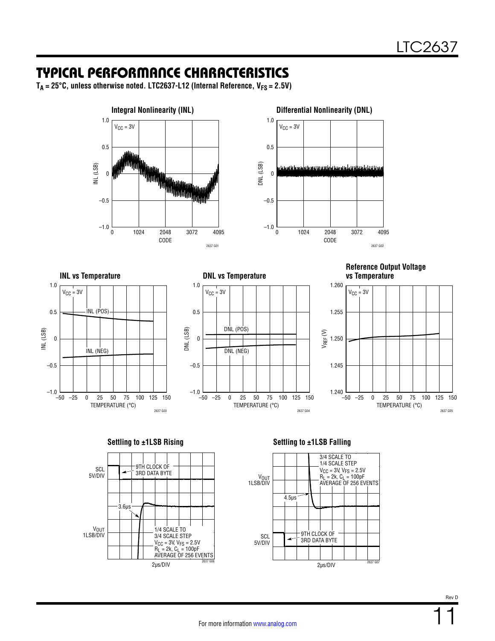## <span id="page-10-0"></span>TYPICAL PERFORMANCE CHARACTERISTICS

 $T_A = 25^\circ \text{C}$ , unless otherwise noted. LTC2637-L12 (Internal Reference,  $V_{FS} = 2.5V$ )





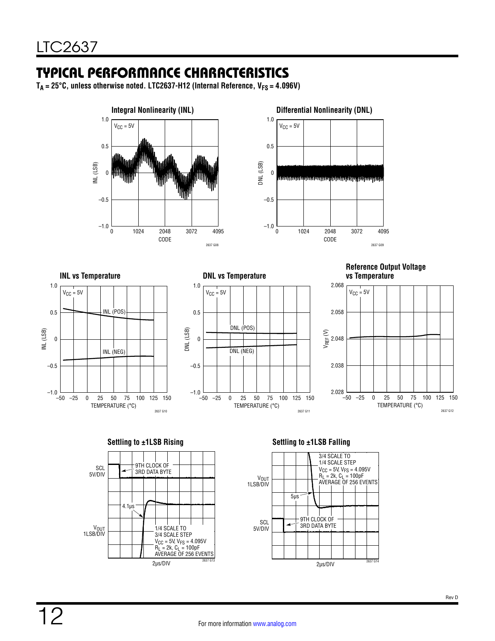# TYPICAL PERFORMANCE CHARACTERISTICS

 $T_A = 25^\circ \text{C}$ , unless otherwise noted. LTC2637-H12 (Internal Reference,  $V_{FS} = 4.096V$ )





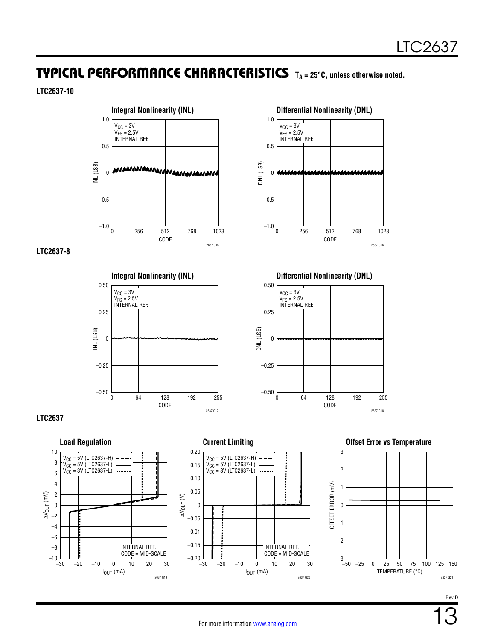# TYPICAL PERFORMANCE CHARACTERISTICS **TA = 25°C, unless otherwise noted.**

### **LTC2637-10**



### **LTC2637-8**









2637 G18 255

CODE

CODE

64 192

2637 G16 1023

256 768

 $\theta$ 

0

DNL (LSB)

DNL (LSB)

1.0

 $V_{CC} = 3V$  $V_{FS} = 2.5V$ INTERNAL REF.

0.5

0

–0.5

 $-1.0$ 

0.50

 $\rm V_{CC}$  = 3V VFS = 2.5V INTERNAL REF.

0.25

0

–0.25

–0.50

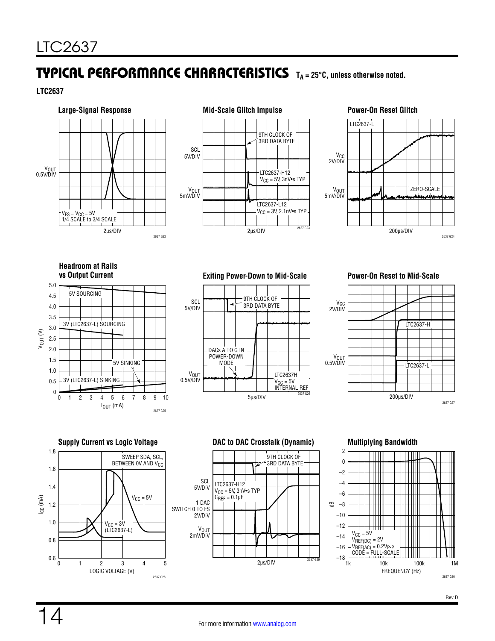# TYPICAL PERFORMANCE CHARACTERISTICS **TA = 25°C, unless otherwise noted.**

**LTC2637**





<span id="page-13-0"></span>

<span id="page-13-1"></span>**Headroom at Rails** 



**vs Output Current Exiting Power-Down to Mid-Scale Power-On Reset to Mid-Scale**





**Supply Current vs Logic Voltage DAC to DAC Crosstalk (Dynamic) Multiplying Bandwidth** LOGIC VOLTAGE (V) 0 ICC (mA) 1.8 1.6 1.2 1.4 1.0 0.8 0.6 1 2 3 4 5 SWEEP SDA, SCL, BETWEEN OV AND V<sub>CC</sub>  $V_{CC} = 5V$  $V_{\text{CC}} = 3V$ (LTC2637-L)

2637 G28



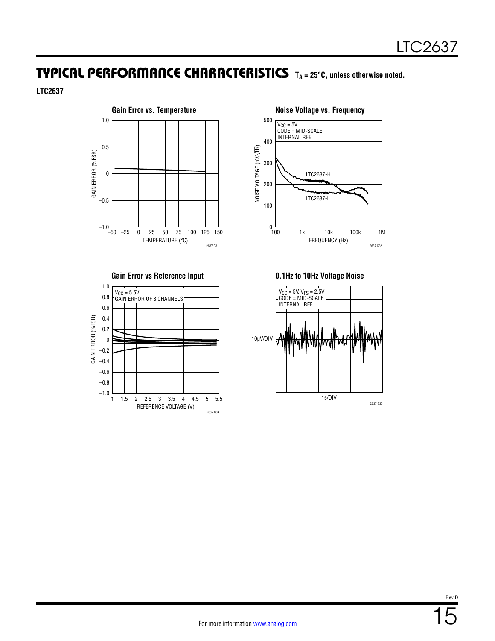## TYPICAL PERFORMANCE CHARACTERISTICS **TA = 25°C, unless otherwise noted.**

**LTC2637**







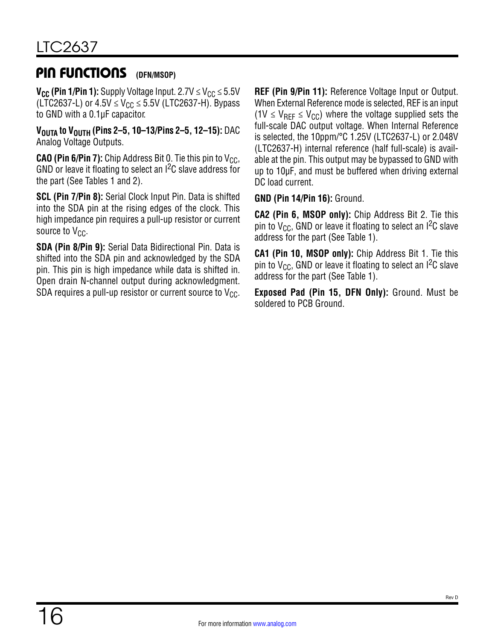#### PIN FUNCTIONS **(DFN/MSOP)**

**V<sub>CC</sub>** (Pin 1/Pin 1): Supply Voltage Input. 2.7V  $\leq$  V<sub>CC</sub>  $\leq$  5.5V (LTC2637-L) or  $4.5V \le V_{CC} \le 5.5V$  (LTC2637-H). Bypass to GND with a 0.1µF capacitor.

**VOUTA to VOUTH (Pins 2–5, 10–13/Pins 2–5, 12–15):** DAC Analog Voltage Outputs.

**CAO (Pin 6/Pin 7):** Chip Address Bit 0. Tie this pin to  $V_{CC}$ , GND or leave it floating to select an I<sup>2</sup>C slave address for the part (See [Tables 1](#page-20-0) and [2](#page-20-1)).

**SCL (Pin 7/Pin 8):** Serial Clock Input Pin. Data is shifted into the SDA pin at the rising edges of the clock. This high impedance pin requires a pull-up resistor or current source to  $V_{CC}$ .

**SDA (Pin 8/Pin 9):** Serial Data Bidirectional Pin. Data is shifted into the SDA pin and acknowledged by the SDA pin. This pin is high impedance while data is shifted in. Open drain N-channel output during acknowledgment. SDA requires a pull-up resistor or current source to  $V_{CC}$ . **REF (Pin 9/Pin 11):** Reference Voltage Input or Output. When External Reference mode is selected, REF is an input  $(1V \le V_{\text{RFF}} \le V_{\text{CC}})$  where the voltage supplied sets the full-scale DAC output voltage. When Internal Reference is selected, the 10ppm/°C 1.25V (LTC2637-L) or 2.048V (LTC2637-H) internal reference (half full-scale) is available at the pin. This output may be bypassed to GND with up to 10µF, and must be buffered when driving external DC load current.

**GND (Pin 14/Pin 16):** Ground.

**CA2 (Pin 6, MSOP only):** Chip Address Bit 2. Tie this pin to  $V_{CC}$ , GND or leave it floating to select an I<sup>2</sup>C slave address for the part (See [Table 1](#page-20-0)).

**CA1 (Pin 10, MSOP only):** Chip Address Bit 1. Tie this pin to  $V_{CC}$ , GND or leave it floating to select an  ${}^{12}C$  slave address for the part (See [Table 1](#page-20-0)).

**Exposed Pad (Pin 15, DFN Only):** Ground. Must be soldered to PCB Ground.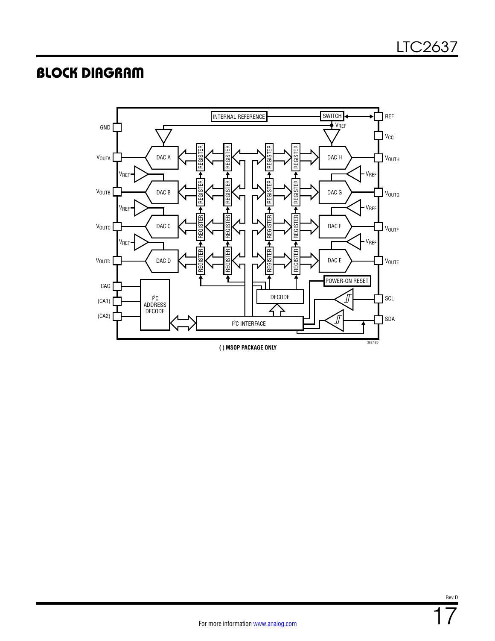# <span id="page-16-0"></span>BLOCK DIAGRAM

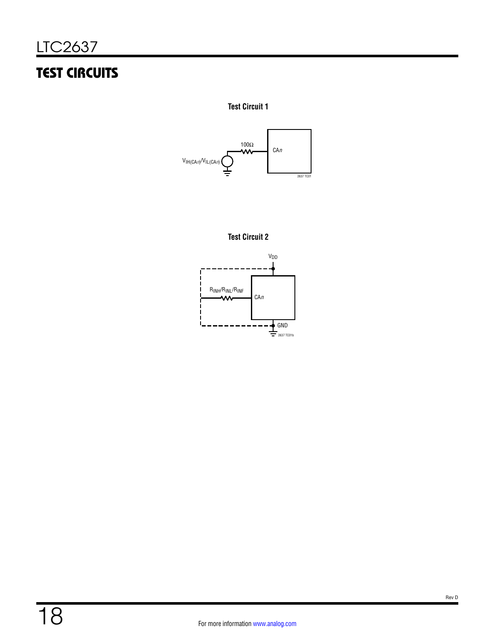# <span id="page-17-0"></span>TEST CIRCUITS

**Test Circuit 1**





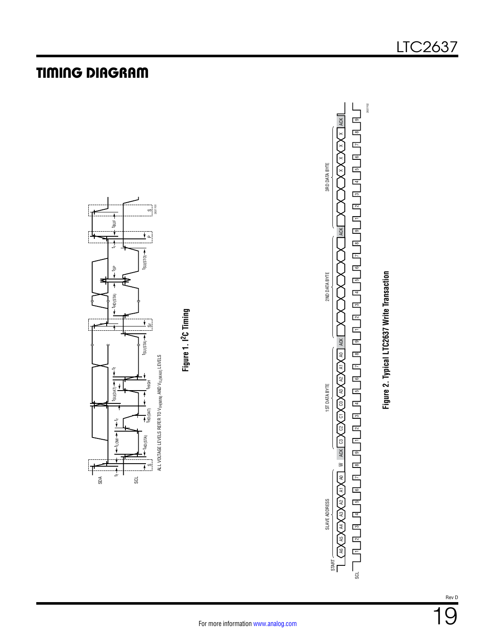<span id="page-18-0"></span>

# TIMING DIAGRAM

<span id="page-18-1"></span>SCL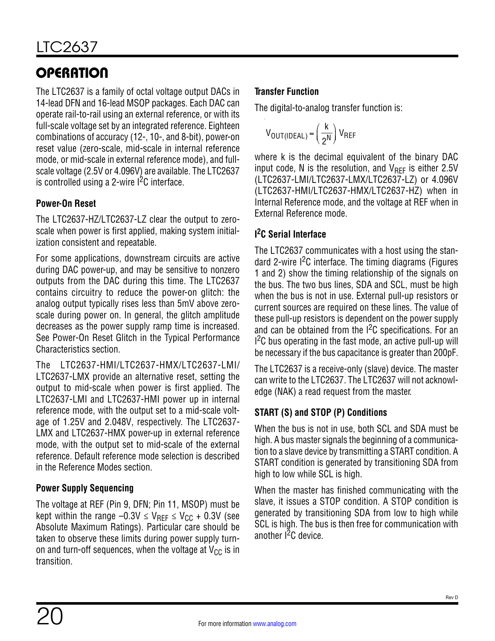The LTC2637 is a family of octal voltage output DACs in 14-lead DFN and 16-lead MSOP packages. Each DAC can operate rail-to-rail using an external reference, or with its full-scale voltage set by an integrated reference. Eighteen combinations of accuracy (12-, 10-, and 8-bit), power-on reset value (zero-scale, mid-scale in internal reference mode, or mid-scale in external reference mode), and fullscale voltage (2.5V or 4.096V) are available. The LTC2637 is controlled using a 2-wire  $l^2C$  interface.

## **Power-On Reset**

The LTC2637-HZ/LTC2637-LZ clear the output to zeroscale when power is first applied, making system initialization consistent and repeatable.

For some applications, downstream circuits are active during DAC power-up, and may be sensitive to nonzero outputs from the DAC during this time. The LTC2637 contains circuitry to reduce the power-on glitch: the analog output typically rises less than 5mV above zeroscale during power on. In general, the glitch amplitude decreases as the power supply ramp time is increased. See [Power-On Reset Glitch](#page-13-0) in the [Typical Performance](#page-10-0)  [Characteristics](#page-10-0) section.

The LTC2637-HMI/LTC2637-HMX/LTC2637-LMI/ LTC2637-LMX provide an alternative reset, setting the output to mid-scale when power is first applied. The LTC2637-LMI and LTC2637-HMI power up in internal reference mode, with the output set to a mid-scale voltage of 1.25V and 2.048V, respectively. The LTC2637- LMX and LTC2637-HMX power-up in external reference mode, with the output set to mid-scale of the external reference. Default reference mode selection is described in the [Reference Modes](#page-21-0) section.

## **Power Supply Sequencing**

The voltage at REF (Pin 9, DFN; Pin 11, MSOP) must be kept within the range –0.3V  $\leq$  V<sub>REF</sub>  $\leq$  V<sub>CC</sub> + 0.3V (see [Absolute Maximum Ratings](#page-1-0)). Particular care should be taken to observe these limits during power supply turnon and turn-off sequences, when the voltage at  $V_{CC}$  is in transition.

## **Transfer Function**

The digital-to-analog transfer function is:

$$
V_{OUT(IDEAL)} = \left(\frac{k}{2^N}\right) V_{REF}
$$

where k is the decimal equivalent of the binary DAC input code, N is the resolution, and  $V_{\text{RFF}}$  is either 2.5V (LTC2637-LMI/LTC2637-LMX/LTC2637-LZ) or 4.096V (LTC2637-HMI/LTC2637-HMX/LTC2637-HZ) when in Internal Reference mode, and the voltage at REF when in External Reference mode.

## **I 2C Serial Interface**

The LTC2637 communicates with a host using the standard 2-wire  $1<sup>2</sup>C$  interface. The timing diagrams (Figures [1](#page-18-0) and [2\)](#page-18-1) show the timing relationship of the signals on the bus. The two bus lines, SDA and SCL, must be high when the bus is not in use. External pull-up resistors or current sources are required on these lines. The value of these pull-up resistors is dependent on the power supply and can be obtained from the <sup>12</sup>C specifications. For an 1<sup>2</sup>C bus operating in the fast mode, an active pull-up will be necessary if the bus capacitance is greater than 200pF.

The LTC2637 is a receive-only (slave) device. The master can write to the LTC2637. The LTC2637 will not acknowledge (NAK) a read request from the master.

## **START (S) and STOP (P) Conditions**

When the bus is not in use, both SCL and SDA must be high. A bus master signals the beginning of a communication to a slave device by transmitting a START condition. A START condition is generated by transitioning SDA from high to low while SCL is high.

When the master has finished communicating with the slave, it issues a STOP condition. A STOP condition is generated by transitioning SDA from low to high while SCL is high. The bus is then free for communication with another  $I^2C$  device.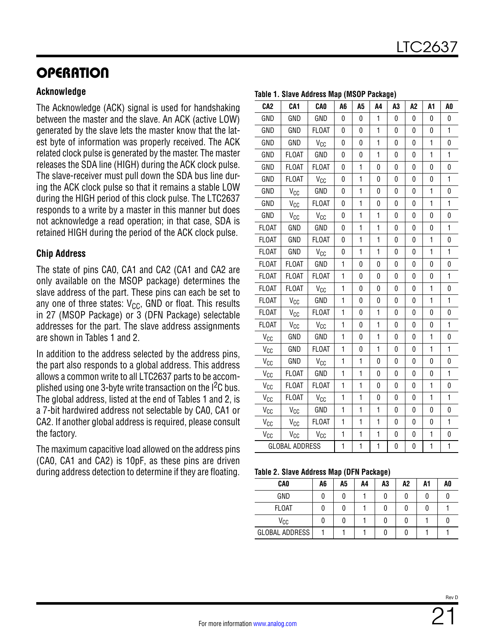## **Acknowledge**

The Acknowledge (ACK) signal is used for handshaking between the master and the slave. An ACK (active LOW) generated by the slave lets the master know that the latest byte of information was properly received. The ACK related clock pulse is generated by the master. The master releases the SDA line (HIGH) during the ACK clock pulse. The slave-receiver must pull down the SDA bus line during the ACK clock pulse so that it remains a stable LOW during the HIGH period of this clock pulse. The LTC2637 responds to a write by a master in this manner but does not acknowledge a read operation; in that case, SDA is retained HIGH during the period of the ACK clock pulse.

## **Chip Address**

The state of pins CA0, CA1 and CA2 (CA1 and CA2 are only available on the MSOP package) determines the slave address of the part. These pins can each be set to any one of three states:  $V_{CC}$ , GND or float. This results in 27 (MSOP Package) or 3 (DFN Package) selectable addresses for the part. The slave address assignments are shown in Tables 1 and 2.

In addition to the address selected by the address pins, the part also responds to a global address. This address allows a common write to all LTC2637 parts to be accomplished using one 3-byte write transaction on the  $1<sup>2</sup>C$  bus. The global address, listed at the end of Tables 1 and 2, is a 7-bit hardwired address not selectable by CA0, CA1 or CA2. If another global address is required, please consult the factory.

The maximum capacitive load allowed on the address pins (CA0, CA1 and CA2) is 10pF, as these pins are driven during address detection to determine if they are floating.

| CA <sub>2</sub>                     | CA <sub>1</sub> | <b>CAO</b>      | A6             | A <sub>5</sub> | A4           | A <sub>3</sub> | A <sub>2</sub> | A1           | A <sub>0</sub> |
|-------------------------------------|-----------------|-----------------|----------------|----------------|--------------|----------------|----------------|--------------|----------------|
| GND                                 | GND             | GND             | 0              | 0              | 1            | 0              | 0              | 0            | 0              |
| GND                                 | GND             | <b>FLOAT</b>    | 0              | 0              | $\mathbf{1}$ | 0              | 0              | 0            | $\mathbf{1}$   |
| GND                                 | GND             | V <sub>CC</sub> | 0              | 0              | $\mathbf{1}$ | 0              | 0              | 1            | 0              |
| GND                                 | <b>FLOAT</b>    | GND             | 0              | 0              | 1            | 0              | 0              | 1            | $\mathbf{1}$   |
| GND                                 | <b>FLOAT</b>    | <b>FLOAT</b>    | 0              | 1              | 0            | 0              | 0              | 0            | 0              |
| GND                                 | <b>FLOAT</b>    | V <sub>CC</sub> | 0              | $\mathbf{1}$   | 0            | 0              | 0              | 0            | $\mathbf{1}$   |
| GND                                 | V <sub>CC</sub> | GND             | 0              | 1              | 0            | 0              | 0              | 1            | 0              |
| GND                                 | $\rm V_{CG}$    | <b>FLOAT</b>    | 0              | $\mathbf{1}$   | 0            | 0              | 0              | $\mathbf{1}$ | $\mathbf{1}$   |
| GND                                 | $V_{CC}$        | V <sub>CC</sub> | 0              | $\mathbf{1}$   | 1            | 0              | 0              | 0            | 0              |
| <b>FLOAT</b>                        | GND             | GND             | 0              | $\mathbf{1}$   | $\mathbf{1}$ | 0              | 0              | 0            | $\mathbf{1}$   |
| <b>FLOAT</b>                        | GND             | <b>FLOAT</b>    | 0              | $\mathbf{1}$   | 1            | 0              | 0              | 1            | 0              |
| <b>FLOAT</b>                        | GND             | V <sub>CC</sub> | 0              | $\mathbf{1}$   | $\mathbf{1}$ | 0              | 0              | $\mathbf{1}$ | $\mathbf{1}$   |
| <b>FLOAT</b>                        | <b>FLOAT</b>    | GND             | $\mathbf{1}$   | 0              | 0            | 0              | 0              | 0            | 0              |
| <b>FLOAT</b>                        | <b>FLOAT</b>    | <b>FLOAT</b>    | 1              | 0              | 0            | 0              | 0              | 0            | $\mathbf{1}$   |
| FLOAT                               | <b>FLOAT</b>    | V <sub>CC</sub> | $\mathbf{1}$   | 0              | 0            | 0              | 0              | 1            | 0              |
| <b>FLOAT</b>                        | V <sub>CC</sub> | GND             | 1              | 0              | 0            | 0              | 0              | 1            | 1              |
| <b>FLOAT</b>                        | V <sub>CC</sub> | <b>FLOAT</b>    | $\mathbf{1}$   | 0              | $\mathbf{1}$ | 0              | 0              | 0            | 0              |
| <b>FLOAT</b>                        | $V_{CC}$        | V <sub>CC</sub> | $\mathbf{1}$   | 0              | 1            | $\pmb{0}$      | 0              | 0            | $\mathbf{1}$   |
| $\rm V_{CC}$                        | GND             | GND             | $\overline{1}$ | 0              | $\mathbf{1}$ | 0              | 0              | $\mathbf{1}$ | 0              |
| $\mathsf{V}_{\mathbb{C}\mathbb{C}}$ | GND             | <b>FLOAT</b>    | $\mathbf{1}$   | 0              | 1            | 0              | 0              | 1            | $\mathbf{1}$   |
| $V_{CC}$                            | GND             | V <sub>CC</sub> | $\overline{1}$ | 1              | 0            | 0              | 0              | 0            | 0              |
| Vcc                                 | <b>FLOAT</b>    | GND             | 1              | $\mathbf{1}$   | 0            | 0              | 0              | 0            | 1              |
| $V_{CC}$                            | <b>FLOAT</b>    | <b>FLOAT</b>    | $\mathbf{1}$   | $\mathbf{1}$   | 0            | 0              | 0              | $\mathbf{1}$ | 0              |
| $V_{CC}$                            | <b>FLOAT</b>    | V <sub>CC</sub> | 1              | $\mathbf{1}$   | 0            | 0              | 0              | 1            | 1              |
| V <sub>CC</sub>                     | $V_{CC}$        | GND             | $\mathbf{1}$   | $\mathbf{1}$   | 1            | 0              | 0              | 0            | 0              |
| V <sub>CC</sub>                     | $\rm V_{CG}$    | <b>FLOAT</b>    | $\mathbf{1}$   | $\mathbf{1}$   | $\mathbf{1}$ | 0              | 0              | 0            | $\mathbf{1}$   |
| $V_{CC}$                            | V <sub>CC</sub> | $V_{CC}$        | $\mathbf{1}$   | $\mathbf{1}$   | $\mathbf{1}$ | 0              | 0              | 1            | 0              |
| <b>GLOBAL ADDRESS</b>               | $\mathbf{1}$    | 1               | $\mathbf{1}$   | 0              | 0            | $\mathbf{1}$   | $\mathbf{1}$   |              |                |

### <span id="page-20-0"></span>**Table 1. Slave Address Map (MSOP Package)**

<span id="page-20-1"></span>**Table 2. Slave Address Map (DFN Package)**

| TODIO E. OTAVO AUGIOSS MAP (DI N I AUNAGO) |    |    |    |    |    |    |    |  |  |
|--------------------------------------------|----|----|----|----|----|----|----|--|--|
| <b>CAO</b>                                 | A6 | A5 | A4 | A3 | A2 | A1 | A0 |  |  |
| GND                                        |    |    |    | 0  |    |    |    |  |  |
| <b>FLOAT</b>                               |    |    |    |    |    |    |    |  |  |
| Vcc                                        |    |    |    |    |    |    |    |  |  |
| <b>GLOBAL ADDRESS</b>                      |    |    |    |    |    |    |    |  |  |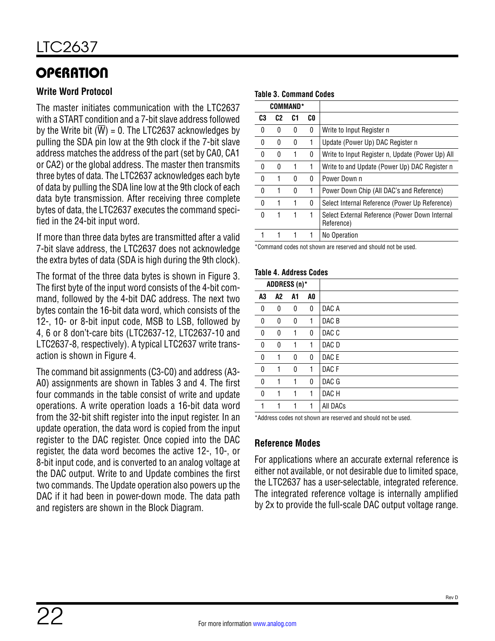## **Write Word Protocol**

The master initiates communication with the LTC2637 with a START condition and a 7-bit slave address followed by the Write bit  $(\overline{W}) = 0$ . The LTC2637 acknowledges by pulling the SDA pin low at the 9th clock if the 7-bit slave address matches the address of the part (set by CA0, CA1 or CA2) or the global address. The master then transmits three bytes of data. The LTC2637 acknowledges each byte of data by pulling the SDA line low at the 9th clock of each data byte transmission. After receiving three complete bytes of data, the LTC2637 executes the command specified in the 24-bit input word.

If more than three data bytes are transmitted after a valid 7-bit slave address, the LTC2637 does not acknowledge the extra bytes of data (SDA is high during the 9th clock).

The format of the three data bytes is shown in Figure 3. The first byte of the input word consists of the 4-bit command, followed by the 4-bit DAC address. The next two bytes contain the 16-bit data word, which consists of the 12-, 10- or 8-bit input code, MSB to LSB, followed by 4, 6 or 8 don't-care bits (LTC2637-12, LTC2637-10 and LTC2637-8, respectively). A typical LTC2637 write transaction is shown in [Figure 4.](#page-24-0)

The command bit assignments (C3-C0) and address (A3- A0) assignments are shown in Tables 3 and 4. The first four commands in the table consist of write and update operations. A write operation loads a 16-bit data word from the 32-bit shift register into the input register. In an update operation, the data word is copied from the input register to the DAC register. Once copied into the DAC register, the data word becomes the active 12-, 10-, or 8-bit input code, and is converted to an analog voltage at the DAC output. Write to and Update combines the first two commands. The Update operation also powers up the DAC if it had been in power-down mode. The data path and registers are shown in the [Block Diagram](#page-16-0).

### **Table 3. Command Codes**

| <b>COMMAND*</b> |                |    |     |                                                              |
|-----------------|----------------|----|-----|--------------------------------------------------------------|
| C3              | C <sub>2</sub> | C1 | CO. |                                                              |
| <sup>0</sup>    | 0              | 0  | 0   | Write to Input Register n                                    |
| N               | N              | 0  | 1   | Update (Power Up) DAC Register n                             |
| U               | 0              | 1  | 0   | Write to Input Register n, Update (Power Up) All             |
| N               | O              |    | 1   | Write to and Update (Power Up) DAC Register n                |
| 0               | 1              | 0  | 0   | Power Down n                                                 |
| N               | 1              | O  | 1   | Power Down Chip (All DAC's and Reference)                    |
| U               | 1              | 1  | 0   | Select Internal Reference (Power Up Reference)               |
| N               |                | 1  | 1   | Select External Reference (Power Down Internal<br>Reference) |
|                 |                |    |     | No Operation                                                 |

\*Command codes not shown are reserved and should not be used.

### **Table 4. Address Codes**

|    |                | ADDRESS (n)* |    |                  |
|----|----------------|--------------|----|------------------|
| A3 | A <sub>2</sub> | A1           | A0 |                  |
| 0  | 0              | 0            | 0  | DAC A            |
| 0  | 0              | 0            | 1  | DAC B            |
| 0  | 0              | 1            | 0  | DAC C            |
| 0  | 0              | 1            | 1  | DAC D            |
| 0  | 1              | 0            | 0  | DAC E            |
| 0  | 1              | 0            | 1  | DAC <sub>F</sub> |
| 0  | 1              | 1            | 0  | DAC G            |
| 0  | 1              | 1            | 1  | DAC H            |
|    | 1              | 1            | 1  | All DACs         |
|    |                |              |    |                  |

\*Address codes not shown are reserved and should not be used.

## <span id="page-21-0"></span>**Reference Modes**

For applications where an accurate external reference is either not available, or not desirable due to limited space, the LTC2637 has a user-selectable, integrated reference. The integrated reference voltage is internally amplified by 2x to provide the full-scale DAC output voltage range.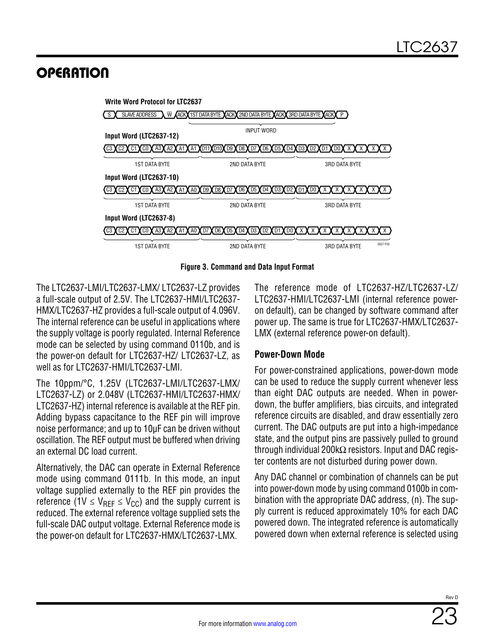

**Figure 3. Command and Data Input Format**

The LTC2637-LMI/LTC2637-LMX/ LTC2637-LZ provides a full-scale output of 2.5V. The LTC2637-HMI/LTC2637- HMX/LTC2637-HZ provides a full-scale output of 4.096V. The internal reference can be useful in applications where the supply voltage is poorly regulated. Internal Reference mode can be selected by using command 0110b, and is the power-on default for LTC2637-HZ/ LTC2637-LZ, as well as for LTC2637-HMI/LTC2637-LMI.

The 10ppm/°C, 1.25V (LTC2637-LMI/LTC2637-LMX/ LTC2637-LZ) or 2.048V (LTC2637-HMI/LTC2637-HMX/ LTC2637-HZ) internal reference is available at the REF pin. Adding bypass capacitance to the REF pin will improve noise performance; and up to 10µF can be driven without oscillation. The REF output must be buffered when driving an external DC load current.

Alternatively, the DAC can operate in External Reference mode using command 0111b. In this mode, an input voltage supplied externally to the REF pin provides the reference (1V  $\leq$  V<sub>RFF</sub>  $\leq$  V<sub>CC</sub>) and the supply current is reduced. The external reference voltage supplied sets the full-scale DAC output voltage. External Reference mode is the power-on default for LTC2637-HMX/LTC2637-LMX.

The reference mode of LTC2637-HZ/LTC2637-LZ/ LTC2637-HMI/LTC2637-LMI (internal reference poweron default), can be changed by software command after power up. The same is true for LTC2637-HMX/LTC2637- LMX (external reference power-on default).

## **Power-Down Mode**

For power-constrained applications, power-down mode can be used to reduce the supply current whenever less than eight DAC outputs are needed. When in powerdown, the buffer amplifiers, bias circuits, and integrated reference circuits are disabled, and draw essentially zero current. The DAC outputs are put into a high-impedance state, and the output pins are passively pulled to ground through individual 200kΩ resistors. Input and DAC register contents are not disturbed during power down.

Any DAC channel or combination of channels can be put into power-down mode by using command 0100b in combination with the appropriate DAC address, (n). The supply current is reduced approximately 10% for each DAC powered down. The integrated reference is automatically powered down when external reference is selected using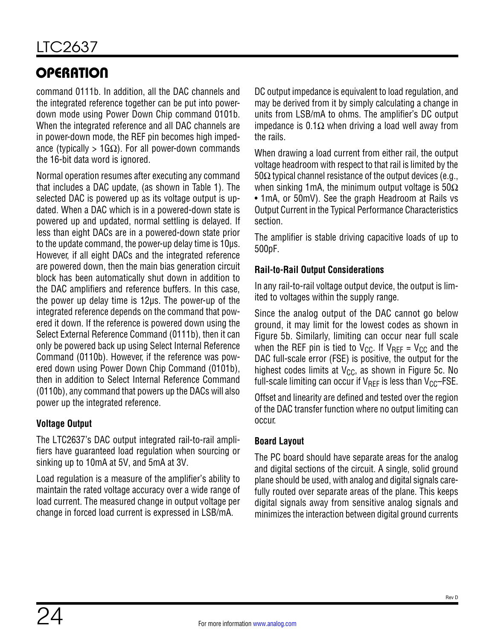command 0111b. In addition, all the DAC channels and the integrated reference together can be put into powerdown mode using Power Down Chip command 0101b. When the integrated reference and all DAC channels are in power-down mode, the REF pin becomes high impedance (typically > 1G $\Omega$ ). For all power-down commands the 16-bit data word is ignored.

Normal operation resumes after executing any command that includes a DAC update, (as shown in [Table 1](#page-20-0)). The selected DAC is powered up as its voltage output is updated. When a DAC which is in a powered-down state is powered up and updated, normal settling is delayed. If less than eight DACs are in a powered-down state prior to the update command, the power-up delay time is 10µs. However, if all eight DACs and the integrated reference are powered down, then the main bias generation circuit block has been automatically shut down in addition to the DAC amplifiers and reference buffers. In this case, the power up delay time is 12µs. The power-up of the integrated reference depends on the command that powered it down. If the reference is powered down using the Select External Reference Command (0111b), then it can only be powered back up using Select Internal Reference Command (0110b). However, if the reference was powered down using Power Down Chip Command (0101b), then in addition to Select Internal Reference Command (0110b), any command that powers up the DACs will also power up the integrated reference.

## **Voltage Output**

The LTC2637's DAC output integrated rail-to-rail amplifiers have guaranteed load regulation when sourcing or sinking up to 10mA at 5V, and 5mA at 3V.

Load regulation is a measure of the amplifier's ability to maintain the rated voltage accuracy over a wide range of load current. The measured change in output voltage per change in forced load current is expressed in LSB/mA.

DC output impedance is equivalent to load regulation, and may be derived from it by simply calculating a change in units from LSB/mA to ohms. The amplifier's DC output impedance is 0.1Ω when driving a load well away from the rails.

When drawing a load current from either rail, the output voltage headroom with respect to that rail is limited by the  $50\Omega$  typical channel resistance of the output devices (e.g., when sinking 1mA, the minimum output voltage is  $50\Omega$ • 1mA, or 50mV). See the graph [Headroom at Rails vs](#page-13-1) [Output Current](#page-13-1) in the [Typical Performance Characteristics](#page-10-0)  section.

The amplifier is stable driving capacitive loads of up to 500pF.

## **Rail-to-Rail Output Considerations**

In any rail-to-rail voltage output device, the output is limited to voltages within the supply range.

Since the analog output of the DAC cannot go below ground, it may limit for the lowest codes as shown in [Figure 5b](#page-24-1). Similarly, limiting can occur near full scale when the REF pin is tied to  $V_{CC}$ . If  $V_{REF} = V_{CC}$  and the DAC full-scale error (FSE) is positive, the output for the highest codes limits at  $V_{CC}$ , as shown in [Figure 5c.](#page-24-1) No full-scale limiting can occur if  $V_{\text{RFF}}$  is less than  $V_{\text{CC}}$ –FSE.

Offset and linearity are defined and tested over the region of the DAC transfer function where no output limiting can occur.

## **Board Layout**

The PC board should have separate areas for the analog and digital sections of the circuit. A single, solid ground plane should be used, with analog and digital signals carefully routed over separate areas of the plane. This keeps digital signals away from sensitive analog signals and minimizes the interaction between digital ground currents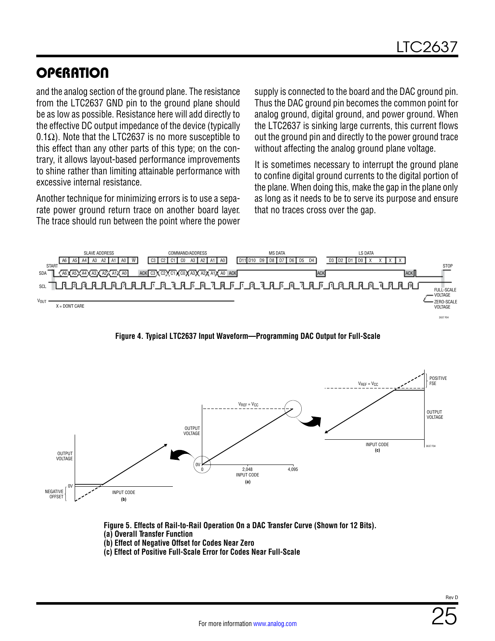and the analog section of the ground plane. The resistance from the LTC2637 GND pin to the ground plane should be as low as possible. Resistance here will add directly to the effective DC output impedance of the device (typically  $0.1\Omega$ ). Note that the LTC2637 is no more susceptible to this effect than any other parts of this type; on the contrary, it allows layout-based performance improvements to shine rather than limiting attainable performance with excessive internal resistance.

Another technique for minimizing errors is to use a separate power ground return trace on another board layer. The trace should run between the point where the power supply is connected to the board and the DAC ground pin. Thus the DAC ground pin becomes the common point for analog ground, digital ground, and power ground. When the LTC2637 is sinking large currents, this current flows out the ground pin and directly to the power ground trace without affecting the analog ground plane voltage.

It is sometimes necessary to interrupt the ground plane to confine digital ground currents to the digital portion of the plane. When doing this, make the gap in the plane only as long as it needs to be to serve its purpose and ensure that no traces cross over the gap.



<span id="page-24-0"></span>**Figure 4. Typical LTC2637 Input Waveform—Programming DAC Output for Full-Scale**



<span id="page-24-1"></span>**Figure 5. Effects of Rail-to-Rail Operation On a DAC Transfer Curve (Shown for 12 Bits). (a) Overall Transfer Function** 

- **(b) Effect of Negative Offset for Codes Near Zero**
- **(c) Effect of Positive Full-Scale Error for Codes Near Full-Scale**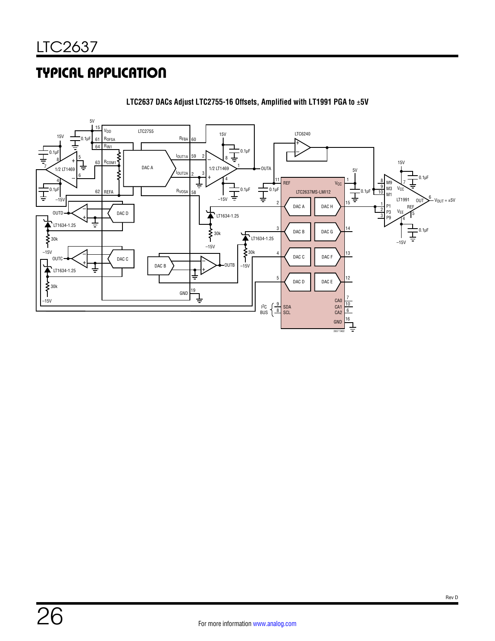# TYPICAL APPLICATION



**LTC2637 DACs Adjust LTC2755-16 Offsets, Amplified with LT1991 PGA to** ±**5V**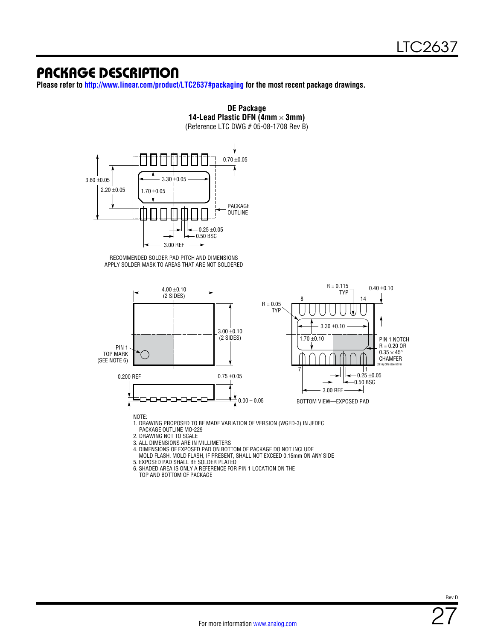## PACKAGE DESCRIPTION

**Please refer to <http://www.linear.com/product/LTC2637#packaging>for the most recent package drawings.**



**DE Package**

TOP AND BOTTOM OF PACKAGE

Rev D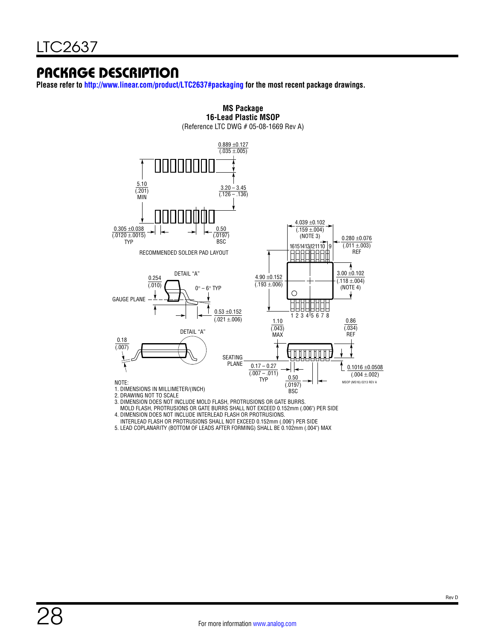## PACKAGE DESCRIPTION

**Please refer to<http://www.linear.com/product/LTC2637#packaging> for the most recent package drawings.**



**MS Package**

MOLD FLASH, PROTRUSIONS OR GATE BURRS SHALL NOT EXCEED 0.152mm (.006") PER SIDE

4. DIMENSION DOES NOT INCLUDE INTERLEAD FLASH OR PROTRUSIONS.

INTERLEAD FLASH OR PROTRUSIONS SHALL NOT EXCEED 0.152mm (.006") PER SIDE

5. LEAD COPLANARITY (BOTTOM OF LEADS AFTER FORMING) SHALL BE 0.102mm (.004") MAX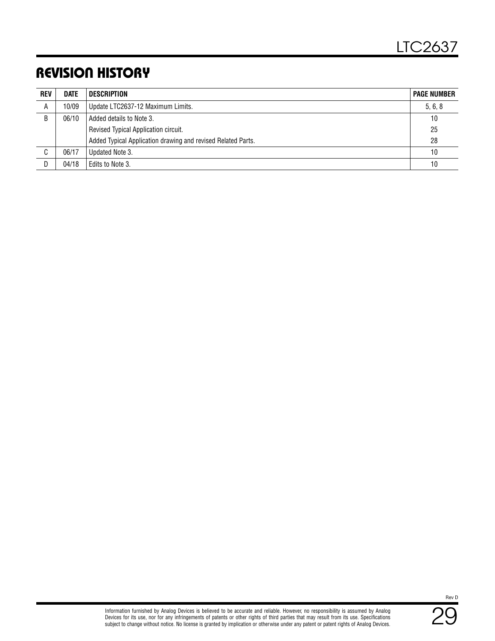# REVISION HISTORY

| <b>REV</b> | <b>DATE</b> | DESCRIPTION                                                  | <b>PAGE NUMBER</b> |
|------------|-------------|--------------------------------------------------------------|--------------------|
| A          | 10/09       | Update LTC2637-12 Maximum Limits.                            | 5, 6, 8            |
| B          | 06/10       | Added details to Note 3.                                     | 10                 |
|            |             | Revised Typical Application circuit.                         | 25                 |
|            |             | Added Typical Application drawing and revised Related Parts. | 28                 |
| C          | 06/17       | Updated Note 3.                                              | 10                 |
| D.         | 04/18       | Edits to Note 3.                                             | 10                 |

29 Rev D